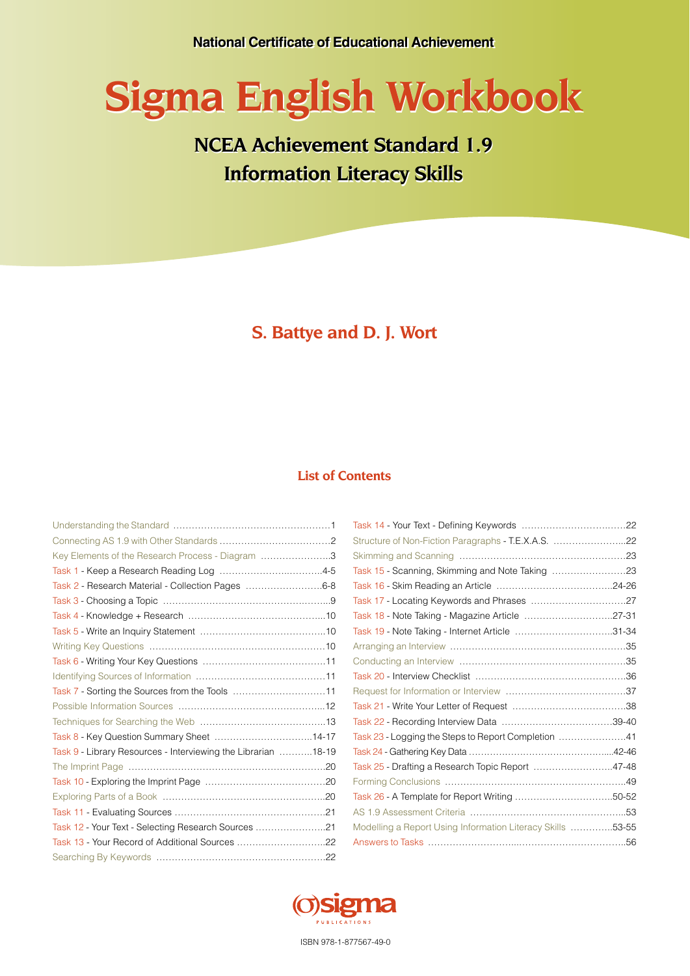# **Sigma English Workbook Sigma English Workbook**

## **NCEA Achievement Standard 1.9 NCEA Achievement Standard 1.9 Information Literacy Skills Information Literacy Skills**

## **S. Battye and D. J. Wort**

## **List of Contents**

| Key Elements of the Research Process - Diagram 3              |  |
|---------------------------------------------------------------|--|
|                                                               |  |
| Task 2 - Research Material - Collection Pages 6-8             |  |
|                                                               |  |
|                                                               |  |
|                                                               |  |
|                                                               |  |
|                                                               |  |
|                                                               |  |
| Task 7 - Sorting the Sources from the Tools 11                |  |
|                                                               |  |
|                                                               |  |
|                                                               |  |
| Task 9 - Library Resources - Interviewing the Librarian 18-19 |  |
|                                                               |  |
|                                                               |  |
|                                                               |  |
|                                                               |  |
| Task 12 - Your Text - Selecting Research Sources 21           |  |
|                                                               |  |
|                                                               |  |

| Structure of Non-Fiction Paragraphs - T.E.X.A.S. 22        |  |
|------------------------------------------------------------|--|
|                                                            |  |
|                                                            |  |
|                                                            |  |
|                                                            |  |
| Task 18 - Note Taking - Magazine Article 27-31             |  |
| Task 19 - Note Taking - Internet Article 31-34             |  |
|                                                            |  |
|                                                            |  |
|                                                            |  |
|                                                            |  |
|                                                            |  |
|                                                            |  |
| Task 23 - Logging the Steps to Report Completion 41        |  |
|                                                            |  |
| Task 25 - Drafting a Research Topic Report 47-48           |  |
|                                                            |  |
|                                                            |  |
|                                                            |  |
| Modelling a Report Using Information Literacy Skills 53-55 |  |
|                                                            |  |



ISBN 978-1-877567-49-0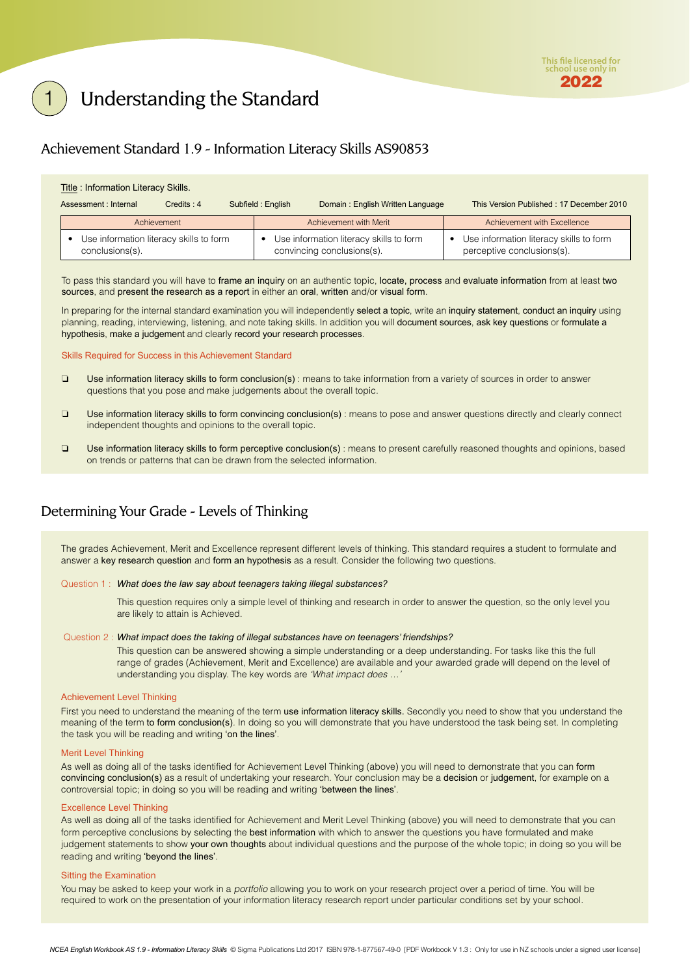## <span id="page-1-0"></span>Understanding the Standard

## Achievement Standard 1.9 - Information Literacy Skills AS90853

| Title: Information Literacy Skills.                        |               |  |                        |                                                                       |                                                                       |  |
|------------------------------------------------------------|---------------|--|------------------------|-----------------------------------------------------------------------|-----------------------------------------------------------------------|--|
| Assessment : Internal                                      | $C$ redits: 4 |  | Subfield: English      | Domain: English Written Language                                      | This Version Published: 17 December 2010                              |  |
| Achievement                                                |               |  | Achievement with Merit | Achievement with Excellence                                           |                                                                       |  |
| Use information literacy skills to form<br>conclusions(s). |               |  |                        | Use information literacy skills to form<br>convincing conclusions(s). | Use information literacy skills to form<br>perceptive conclusions(s). |  |

To pass this standard you will have to frame an inquiry on an authentic topic, locate, process and evaluate information from at least two sources, and present the research as a report in either an oral, written and/or visual form.

In preparing for the internal standard examination you will independently select a topic, write an inquiry statement, conduct an inquiry using planning, reading, interviewing, listening, and note taking skills. In addition you will document sources, ask key questions or formulate a hypothesis, make a judgement and clearly record your research processes.

Skills Required for Success in this Achievement Standard

- ❏ Use information literacy skills to form conclusion(s) : means to take information from a variety of sources in order to answer questions that you pose and make judgements about the overall topic.
- ❏ Use information literacy skills to form convincing conclusion(s) : means to pose and answer questions directly and clearly connect independent thoughts and opinions to the overall topic.
- ❏ Use information literacy skills to form perceptive conclusion(s) : means to present carefully reasoned thoughts and opinions, based on trends or patterns that can be drawn from the selected information.

## Determining Your Grade - Levels of Thinking

The grades Achievement, Merit and Excellence represent different levels of thinking. This standard requires a student to formulate and answer a key research question and form an hypothesis as a result. Consider the following two questions.

#### Question 1 : *What does the law say about teenagers taking illegal substances?*

This question requires only a simple level of thinking and research in order to answer the question, so the only level you are likely to attain is Achieved.

#### Question 2 : *What impact does the taking of illegal substances have on teenagers' friendships?*

This question can be answered showing a simple understanding or a deep understanding. For tasks like this the full range of grades (Achievement, Merit and Excellence) are available and your awarded grade will depend on the level of understanding you display. The key words are 'What impact does ...

#### Achievement Level Thinking

First you need to understand the meaning of the term use information literacy skills. Secondly you need to show that you understand the meaning of the term to form conclusion(s). In doing so you will demonstrate that you have understood the task being set. In completing the task you will be reading and writing 'on the lines'.

#### Merit Level Thinking

As well as doing all of the tasks identified for Achievement Level Thinking (above) you will need to demonstrate that you can form convincing conclusion(s) as a result of undertaking your research. Your conclusion may be a decision or judgement, for example on a controversial topic; in doing so you will be reading and writing 'between the lines'.

#### Excellence Level Thinking

As well as doing all of the tasks identified for Achievement and Merit Level Thinking (above) you will need to demonstrate that you can form perceptive conclusions by selecting the best information with which to answer the questions you have formulated and make judgement statements to show your own thoughts about individual questions and the purpose of the whole topic; in doing so you will be reading and writing 'beyond the lines'.

#### Sitting the Examination

You may be asked to keep your work in a *portfolio* allowing you to work on your research project over a period of time. You will be required to work on the presentation of your information literacy research report under particular conditions set by your school.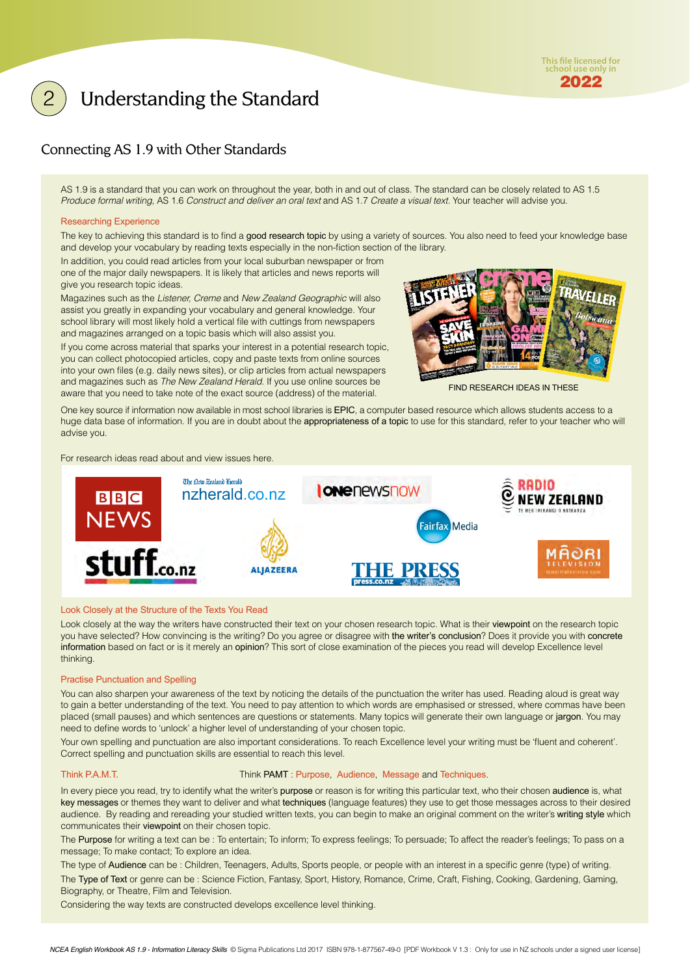## <span id="page-2-0"></span>Understanding the Standard

## Connecting AS 1.9 with Other Standards

AS 1.9 is a standard that you can work on throughout the year, both in and out of class. The standard can be closely related to AS 1.5 Produce formal writing, AS 1.6 Construct and deliver an oral text and AS 1.7 Create a visual text. Your teacher will advise you.

### Researching Experience

The key to achieving this standard is to find a good research topic by using a variety of sources. You also need to feed your knowledge base and develop your vocabulary by reading texts especially in the non-fiction section of the library.

In addition, you could read articles from your local suburban newspaper or from one of the major daily newspapers. It is likely that articles and news reports will give you research topic ideas.

Magazines such as the Listener, Creme and New Zealand Geographic will also assist you greatly in expanding your vocabulary and general knowledge. Your school library will most likely hold a vertical file with cuttings from newspapers and magazines arranged on a topic basis which will also assist you.

If you come across material that sparks your interest in a potential research topic, you can collect photocopied articles, copy and paste texts from online sources into your own files (e.g. daily news sites), or clip articles from actual newspapers and magazines such as The New Zealand Herald. If you use online sources be aware that you need to take note of the exact source (address) of the material.



FIND RESEARCH IDEAS IN THESE

One key source if information now available in most school libraries is EPIC, a computer based resource which allows students access to a huge data base of information. If you are in doubt about the appropriateness of a topic to use for this standard, refer to your teacher who will advise you.

#### For research ideas read about and view issues here.



#### Look Closely at the Structure of the Texts You Read

Look closely at the way the writers have constructed their text on your chosen research topic. What is their viewpoint on the research topic you have selected? How convincing is the writing? Do you agree or disagree with the writer's conclusion? Does it provide you with concrete information based on fact or is it merely an opinion? This sort of close examination of the pieces you read will develop Excellence level thinking.

#### Practise Punctuation and Spelling

You can also sharpen your awareness of the text by noticing the details of the punctuation the writer has used. Reading aloud is great way to gain a better understanding of the text. You need to pay attention to which words are emphasised or stressed, where commas have been placed (small pauses) and which sentences are questions or statements. Many topics will generate their own language or jargon. You may need to define words to 'unlock' a higher level of understanding of your chosen topic.

Your own spelling and punctuation are also important considerations. To reach Excellence level your writing must be 'fluent and coherent'. Correct spelling and punctuation skills are essential to reach this level.

#### Think P.A.M.T. Think PAMT : Purpose, Audience, Message and Techniques.

In every piece you read, try to identify what the writer's purpose or reason is for writing this particular text, who their chosen audience is, what key messages or themes they want to deliver and what techniques (language features) they use to get those messages across to their desired audience. By reading and rereading your studied written texts, you can begin to make an original comment on the writer's writing style which communicates their viewpoint on their chosen topic.

The Purpose for writing a text can be : To entertain; To inform; To express feelings; To persuade; To affect the reader's feelings; To pass on a message; To make contact; To explore an idea.

The type of Audience can be : Children, Teenagers, Adults, Sports people, or people with an interest in a specific genre (type) of writing. The Type of Text or genre can be : Science Fiction, Fantasy, Sport, History, Romance, Crime, Craft, Fishing, Cooking, Gardening, Gaming, Biography, or Theatre, Film and Television.

Considering the way texts are constructed develops excellence level thinking.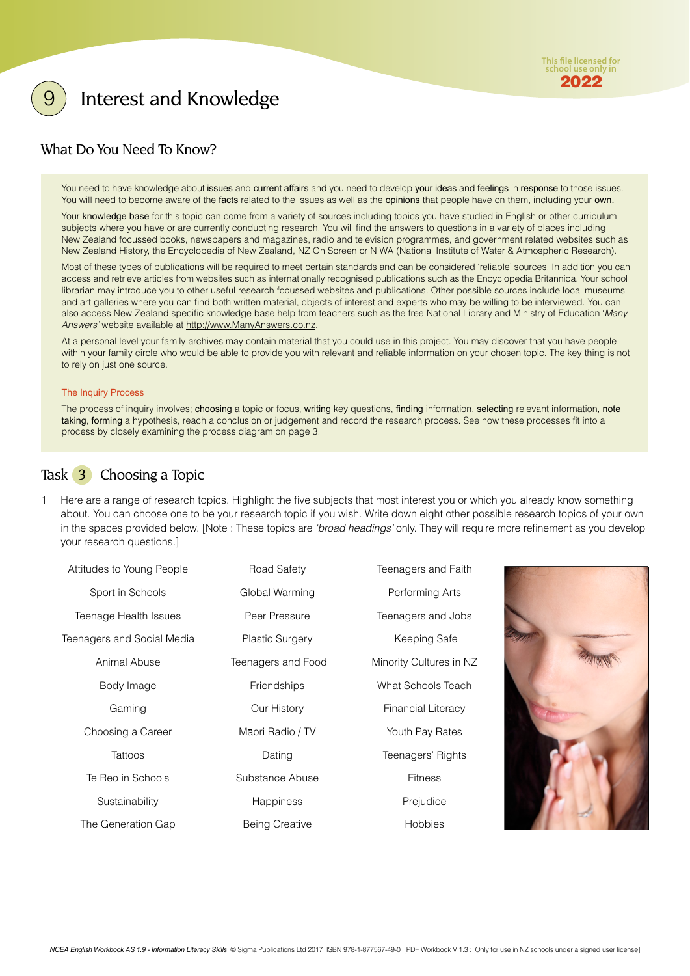## <span id="page-3-0"></span>Interest and Knowledge

## What Do You Need To Know?

You need to have knowledge about issues and current affairs and you need to develop your ideas and feelings in response to those issues. You will need to become aware of the facts related to the issues as well as the opinions that people have on them, including your own.

Your knowledge base for this topic can come from a variety of sources including topics you have studied in English or other curriculum subjects where you have or are currently conducting research. You will find the answers to questions in a variety of places including New Zealand focussed books, newspapers and magazines, radio and television programmes, and government related websites such as New Zealand History, the Encyclopedia of New Zealand, NZ On Screen or NIWA (National Institute of Water & Atmospheric Research).

Most of these types of publications will be required to meet certain standards and can be considered 'reliable' sources. In addition you can access and retrieve articles from websites such as internationally recognised publications such as the Encyclopedia Britannica. Your school librarian may introduce you to other useful research focussed websites and publications. Other possible sources include local museums and art galleries where you can find both written material, objects of interest and experts who may be willing to be interviewed. You can also access New Zealand specific knowledge base help from teachers such as the free National Library and Ministry of Education 'Many Answers' website available at http://www.ManyAnswers.co.nz.

At a personal level your family archives may contain material that you could use in this project. You may discover that you have people within your family circle who would be able to provide you with relevant and reliable information on your chosen topic. The key thing is not to rely on just one source.

#### The Inquiry Process

The process of inquiry involves; choosing a topic or focus, writing key questions, finding information, selecting relevant information, note taking, forming a hypothesis, reach a conclusion or judgement and record the research process. See how these processes fit into a process by closely examining the process diagram on page 3.

## Task 3 Choosing a Topic

Here are a range of research topics. Highlight the five subjects that most interest you or which you already know something about. You can choose one to be your research topic if you wish. Write down eight other possible research topics of your own in the spaces provided below. [Note : These topics are 'broad headings' only. They will require more refinement as you develop your research questions.]

| Attitudes to Young People  | Road Safety            | Teenagers and Faith     |
|----------------------------|------------------------|-------------------------|
| Sport in Schools           | Global Warming         | Performing Arts         |
| Teenage Health Issues      | Peer Pressure          | Teenagers and Jobs      |
| Teenagers and Social Media | <b>Plastic Surgery</b> | Keeping Safe            |
| Animal Abuse               | Teenagers and Food     | Minority Cultures in NZ |
| Body Image                 | <b>Friendships</b>     | What Schools Teach      |
| Gaming                     | Our History            | Financial Literacy      |
| Choosing a Career          | Māori Radio / TV       | Youth Pay Rates         |
| Tattoos                    | Dating                 | Teenagers' Rights       |
| Te Reo in Schools          | Substance Abuse        | <b>Fitness</b>          |
| Sustainability             | <b>Happiness</b>       | Prejudice               |
| The Generation Gap         | <b>Being Creative</b>  | <b>Hobbies</b>          |

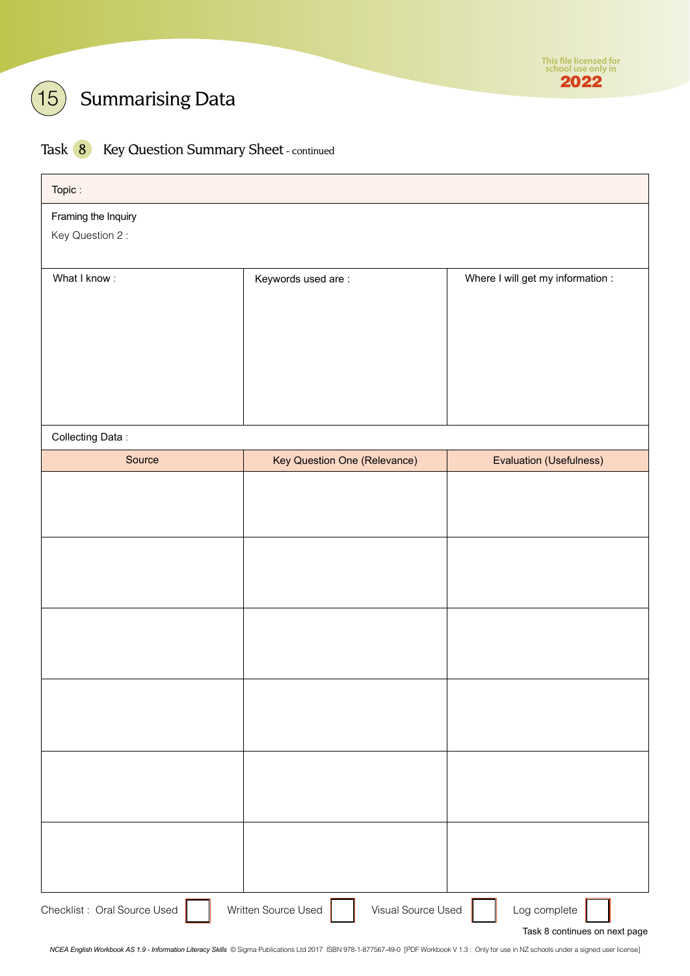

## $\left(15\right)$  Summarising Data

## Task 8 Key Question Summary Sheet - continued

| Topic:                                 |                                     |                                   |
|----------------------------------------|-------------------------------------|-----------------------------------|
| Framing the Inquiry<br>Key Question 2: |                                     |                                   |
| What I know:                           | Keywords used are:                  | Where I will get my information : |
|                                        |                                     |                                   |
|                                        |                                     |                                   |
|                                        |                                     |                                   |
| Collecting Data:                       |                                     |                                   |
| Source                                 | <b>Key Question One (Relevance)</b> | Evaluation (Usefulness)           |
|                                        |                                     |                                   |
|                                        |                                     |                                   |
|                                        |                                     |                                   |
|                                        |                                     |                                   |
|                                        |                                     |                                   |
|                                        |                                     |                                   |
|                                        |                                     |                                   |
|                                        |                                     |                                   |
|                                        |                                     |                                   |
|                                        |                                     |                                   |
|                                        |                                     |                                   |
|                                        |                                     |                                   |
|                                        |                                     |                                   |
|                                        |                                     |                                   |
|                                        |                                     |                                   |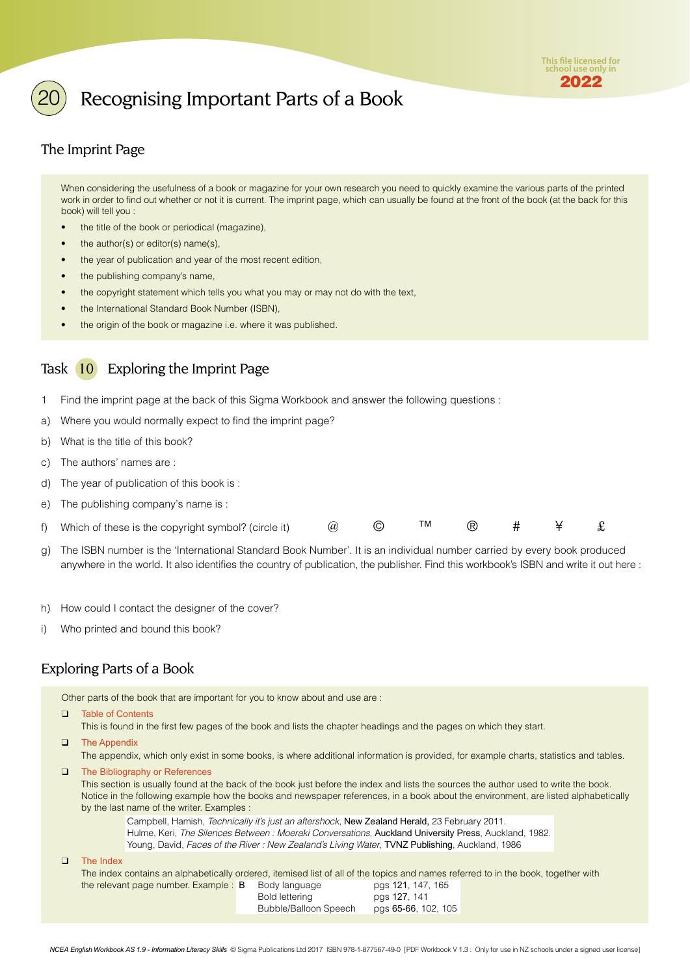

## <span id="page-5-0"></span>Recognising Important Parts of a Book

## The Imprint Page

When considering the usefulness of a book or magazine for your own research you need to quickly examine the various parts of the printed work in order to find out whether or not it is current. The imprint page, which can usually be found at the front of the book (at the back for this book) will tell you :

- the title of the book or periodical (magazine),
- the author(s) or editor(s) name(s),
- the year of publication and year of the most recent edition,
- the publishing company's name,
- the copyright statement which tells you what you may or may not do with the text,
- the International Standard Book Number (ISBN),
- the origin of the book or magazine i.e. where it was published.

### Task 10 Exploring the Imprint Page

- 1 Find the imprint page at the back of this Sigma Workbook and answer the following questions :
- a) Where you would normally expect to find the imprint page?
- b) What is the title of this book?
- c) The authors' names are :
- d) The year of publication of this book is :
- e) The publishing company's name is :

| f) Which of these is the copyright symbol? (circle it) |  |  |  |  |  |  |  |
|--------------------------------------------------------|--|--|--|--|--|--|--|
|--------------------------------------------------------|--|--|--|--|--|--|--|

- g) The ISBN number is the 'International Standard Book Number'. It is an individual number carried by every book produced anywhere in the world. It also identifies the country of publication, the publisher. Find this workbook's ISBN and write it out here :
- h) How could I contact the designer of the cover?
- i) Who printed and bound this book?

### Exploring Parts of a Book

Other parts of the book that are important for you to know about and use are :

❑ Table of Contents

This is found in the first few pages of the book and lists the chapter headings and the pages on which they start.

❑ The Appendix

The appendix, which only exist in some books, is where additional information is provided, for example charts, statistics and tables.

❑ The Bibliography or References

This section is usually found at the back of the book just before the index and lists the sources the author used to write the book. Notice in the following example how the books and newspaper references, in a book about the environment, are listed alphabetically by the last name of the writer. Examples :

Campbell, Hamish, Technically it's just an aftershock, New Zealand Herald, 23 February 2011. Hulme, Keri, The Silences Between : Moeraki Conversations, Auckland University Press, Auckland, 1982. Young, David, Faces of the River : New Zealand's Living Water, TVNZ Publishing, Auckland, 1986

❑ The Index

The index contains an alphabetically ordered, itemised list of all of the topics and names referred to in the book, together with the relevant page number. Example: B Body language pgs 121, 147, 165

Bold lettering pgs 127, 141 Bubble/Balloon Speech pgs 65-66, 102, 105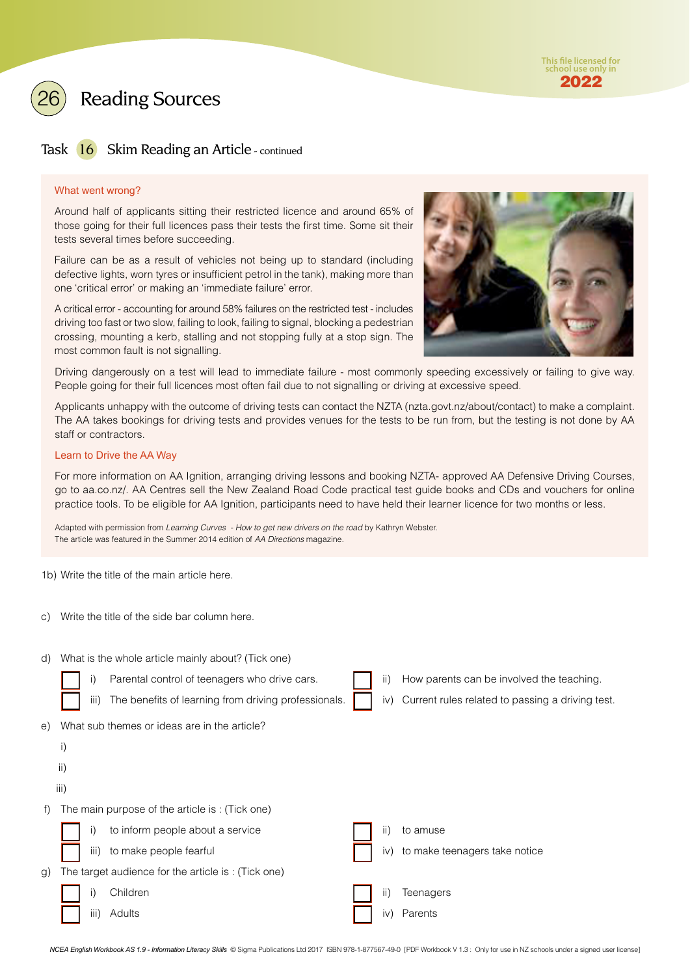



### Task 16 Skim Reading an Article - continued

#### What went wrong?

Around half of applicants sitting their restricted licence and around 65% of those going for their full licences pass their tests the first time. Some sit their tests several times before succeeding.

Failure can be as a result of vehicles not being up to standard (including defective lights, worn tyres or insufficient petrol in the tank), making more than one 'critical error' or making an 'immediate failure' error.

A critical error - accounting for around 58% failures on the restricted test - includes driving too fast or two slow, failing to look, failing to signal, blocking a pedestrian crossing, mounting a kerb, stalling and not stopping fully at a stop sign. The most common fault is not signalling.



Driving dangerously on a test will lead to immediate failure - most commonly speeding excessively or failing to give way. People going for their full licences most often fail due to not signalling or driving at excessive speed.

Applicants unhappy with the outcome of driving tests can contact the NZTA (nzta.govt.nz/about/contact) to make a complaint. The AA takes bookings for driving tests and provides venues for the tests to be run from, but the testing is not done by AA staff or contractors.

### Learn to Drive the AA Way

For more information on AA Ignition, arranging driving lessons and booking NZTA- approved AA Defensive Driving Courses, go to aa.co.nz/. AA Centres sell the New Zealand Road Code practical test guide books and CDs and vouchers for online practice tools. To be eligible for AA Ignition, participants need to have held their learner licence for two months or less.

Adapted with permission from Learning Curves - How to get new drivers on the road by Kathryn Webster. The article was featured in the Summer 2014 edition of AA Directions magazine.

1b) Write the title of the main article here.

c) Write the title of the side bar column here.

| d)         | What is the whole article mainly about? (Tick one) |                                                      |  |     |                                                  |  |  |  |
|------------|----------------------------------------------------|------------------------------------------------------|--|-----|--------------------------------------------------|--|--|--|
|            | i)                                                 | Parental control of teenagers who drive cars.        |  | ii) | How parents can be involved the teaching.        |  |  |  |
|            | iii)                                               | The benefits of learning from driving professionals. |  | iv) | Current rules related to passing a driving test. |  |  |  |
| e)         |                                                    | What sub themes or ideas are in the article?         |  |     |                                                  |  |  |  |
|            | $\mathsf{i}$                                       |                                                      |  |     |                                                  |  |  |  |
|            | ii)                                                |                                                      |  |     |                                                  |  |  |  |
|            | iii)                                               |                                                      |  |     |                                                  |  |  |  |
| $\uparrow$ |                                                    | The main purpose of the article is: (Tick one)       |  |     |                                                  |  |  |  |
|            | i)                                                 | to inform people about a service                     |  | ii) | to amuse                                         |  |  |  |
|            | iii)                                               | to make people fearful                               |  | iv) | to make teenagers take notice                    |  |  |  |
| g)         |                                                    | The target audience for the article is: (Tick one)   |  |     |                                                  |  |  |  |
|            | i)                                                 | Children                                             |  | ii) | Teenagers                                        |  |  |  |
|            | iii)                                               | Adults                                               |  | iv) | Parents                                          |  |  |  |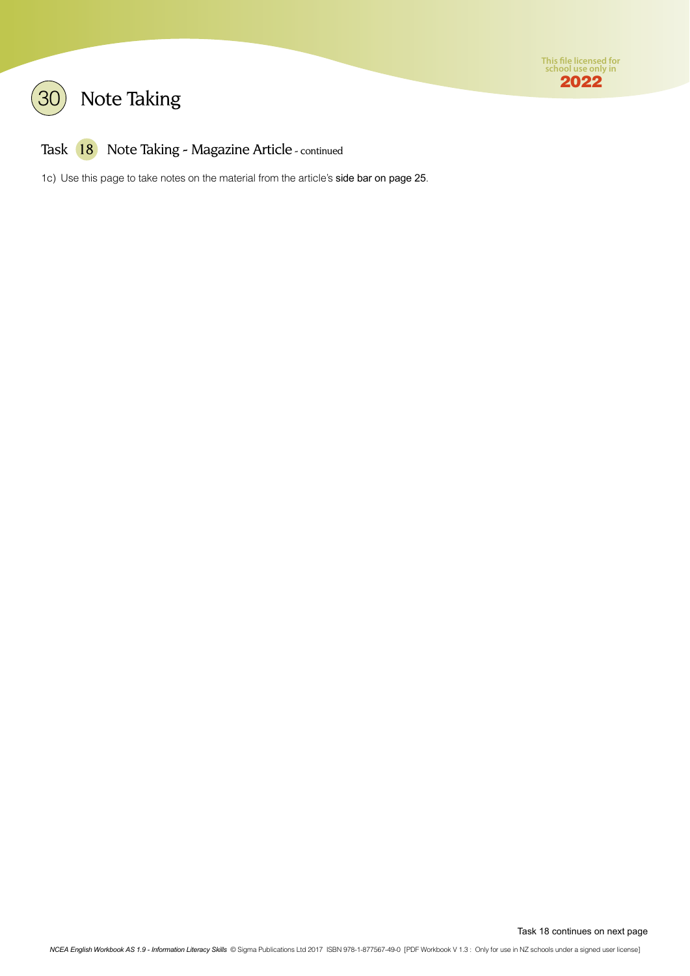



## Task 18 Note Taking - Magazine Article - continued

1c) Use this page to take notes on the material from the article's side bar on page 25.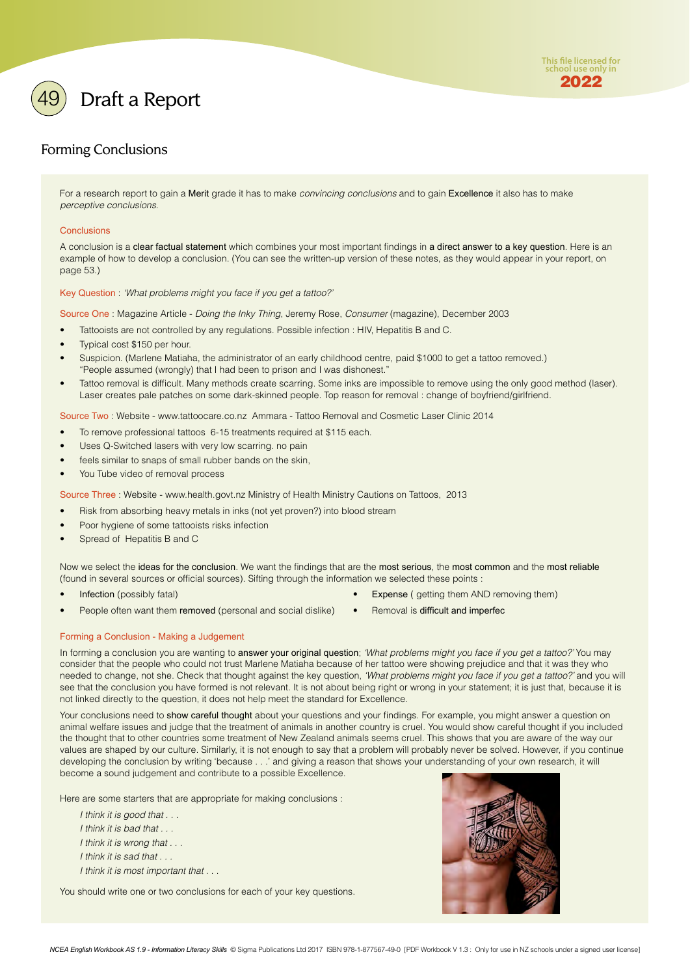<span id="page-8-0"></span>

## Forming Conclusions

For a research report to gain a Merit grade it has to make *convincing conclusions* and to gain Excellence it also has to make perceptive conclusions.

#### **Conclusions**

A conclusion is a clear factual statement which combines your most important findings in a direct answer to a key question. Here is an example of how to develop a conclusion. (You can see the written-up version of these notes, as they would appear in your report, on page 53.)

Key Question : 'What problems might you face if you get a tattoo?'

Source One : Magazine Article - Doing the Inky Thing, Jeremy Rose, Consumer (magazine), December 2003

- Tattooists are not controlled by any regulations. Possible infection : HIV, Hepatitis B and C.
- Typical cost \$150 per hour.
- Suspicion. (Marlene Matiaha, the administrator of an early childhood centre, paid \$1000 to get a tattoo removed.) "People assumed (wrongly) that I had been to prison and I was dishonest."
- Tattoo removal is difficult. Many methods create scarring. Some inks are impossible to remove using the only good method (laser). Laser creates pale patches on some dark-skinned people. Top reason for removal : change of boyfriend/girlfriend.

Source Two : Website - www.tattoocare.co.nz Ammara - Tattoo Removal and Cosmetic Laser Clinic 2014

- To remove professional tattoos 6-15 treatments required at \$115 each.
- Uses Q-Switched lasers with very low scarring. no pain
- feels similar to snaps of small rubber bands on the skin,
- You Tube video of removal process

Source Three : Website - www.health.govt.nz Ministry of Health Ministry Cautions on Tattoos, 2013

- Risk from absorbing heavy metals in inks (not yet proven?) into blood stream
- Poor hygiene of some tattooists risks infection
- Spread of Hepatitis B and C

Now we select the ideas for the conclusion. We want the findings that are the most serious, the most common and the most reliable (found in several sources or official sources). Sifting through the information we selected these points :

- 
- People often want them removed (personal and social dislike) Removal is difficult and imperfec
- Infection (possibly fatal) Expense ( getting them AND removing them)
	-

#### Forming a Conclusion - Making a Judgement

In forming a conclusion you are wanting to answer your original question; 'What problems might you face if you get a tattoo?' You may consider that the people who could not trust Marlene Matiaha because of her tattoo were showing prejudice and that it was they who needed to change, not she. Check that thought against the key question, 'What problems might you face if you get a tattoo?' and you will see that the conclusion you have formed is not relevant. It is not about being right or wrong in your statement; it is just that, because it is not linked directly to the question, it does not help meet the standard for Excellence.

Your conclusions need to show careful thought about your questions and your findings. For example, you might answer a question on animal welfare issues and judge that the treatment of animals in another country is cruel. You would show careful thought if you included the thought that to other countries some treatment of New Zealand animals seems cruel. This shows that you are aware of the way our values are shaped by our culture. Similarly, it is not enough to say that a problem will probably never be solved. However, if you continue developing the conclusion by writing 'because . . .' and giving a reason that shows your understanding of your own research, it will become a sound judgement and contribute to a possible Excellence.

Here are some starters that are appropriate for making conclusions :

- I think it is good that . . .
- I think it is bad that . . .
- I think it is wrong that . . .
- I think it is sad that . . .
- I think it is most important that . . .

You should write one or two conclusions for each of your key questions.